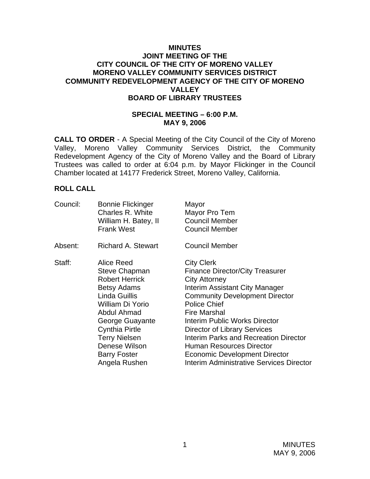### **MINUTES JOINT MEETING OF THE CITY COUNCIL OF THE CITY OF MORENO VALLEY MORENO VALLEY COMMUNITY SERVICES DISTRICT COMMUNITY REDEVELOPMENT AGENCY OF THE CITY OF MORENO VALLEY BOARD OF LIBRARY TRUSTEES**

#### **SPECIAL MEETING – 6:00 P.M. MAY 9, 2006**

**CALL TO ORDER** - A Special Meeting of the City Council of the City of Moreno Valley, Moreno Valley Community Services District, the Community Redevelopment Agency of the City of Moreno Valley and the Board of Library Trustees was called to order at 6:04 p.m. by Mayor Flickinger in the Council Chamber located at 14177 Frederick Street, Moreno Valley, California.

## **ROLL CALL**

| Council: | <b>Bonnie Flickinger</b><br>Charles R. White<br>William H. Batey, II<br><b>Frank West</b>                                                                                                                                                                          | Mayor<br>Mayor Pro Tem<br><b>Council Member</b><br><b>Council Member</b>                                                                                                                                                                                                                                                                                                                                                                                                  |
|----------|--------------------------------------------------------------------------------------------------------------------------------------------------------------------------------------------------------------------------------------------------------------------|---------------------------------------------------------------------------------------------------------------------------------------------------------------------------------------------------------------------------------------------------------------------------------------------------------------------------------------------------------------------------------------------------------------------------------------------------------------------------|
| Absent:  | <b>Richard A. Stewart</b>                                                                                                                                                                                                                                          | <b>Council Member</b>                                                                                                                                                                                                                                                                                                                                                                                                                                                     |
| Staff:   | Alice Reed<br><b>Steve Chapman</b><br><b>Robert Herrick</b><br><b>Betsy Adams</b><br>Linda Guillis<br>William Di Yorio<br>Abdul Ahmad<br>George Guayante<br><b>Cynthia Pirtle</b><br><b>Terry Nielsen</b><br>Denese Wilson<br><b>Barry Foster</b><br>Angela Rushen | <b>City Clerk</b><br><b>Finance Director/City Treasurer</b><br><b>City Attorney</b><br>Interim Assistant City Manager<br><b>Community Development Director</b><br><b>Police Chief</b><br><b>Fire Marshal</b><br><b>Interim Public Works Director</b><br><b>Director of Library Services</b><br><b>Interim Parks and Recreation Director</b><br><b>Human Resources Director</b><br><b>Economic Development Director</b><br><b>Interim Administrative Services Director</b> |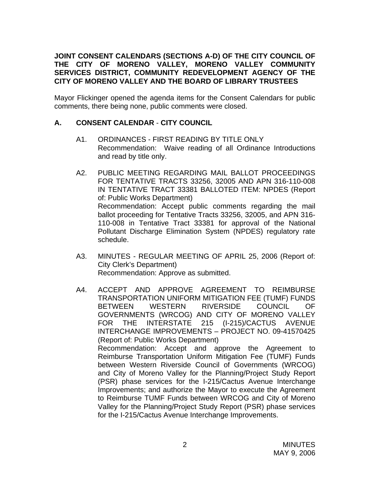## **JOINT CONSENT CALENDARS (SECTIONS A-D) OF THE CITY COUNCIL OF THE CITY OF MORENO VALLEY, MORENO VALLEY COMMUNITY SERVICES DISTRICT, COMMUNITY REDEVELOPMENT AGENCY OF THE CITY OF MORENO VALLEY AND THE BOARD OF LIBRARY TRUSTEES**

Mayor Flickinger opened the agenda items for the Consent Calendars for public comments, there being none, public comments were closed.

## **A. CONSENT CALENDAR** - **CITY COUNCIL**

- A1. ORDINANCES FIRST READING BY TITLE ONLY Recommendation: Waive reading of all Ordinance Introductions and read by title only.
- A2. PUBLIC MEETING REGARDING MAIL BALLOT PROCEEDINGS FOR TENTATIVE TRACTS 33256, 32005 AND APN 316-110-008 IN TENTATIVE TRACT 33381 BALLOTED ITEM: NPDES (Report of: Public Works Department) Recommendation: Accept public comments regarding the mail ballot proceeding for Tentative Tracts 33256, 32005, and APN 316- 110-008 in Tentative Tract 33381 for approval of the National Pollutant Discharge Elimination System (NPDES) regulatory rate schedule.
- A3. MINUTES REGULAR MEETING OF APRIL 25, 2006 (Report of: City Clerk's Department) Recommendation: Approve as submitted.
- A4. ACCEPT AND APPROVE AGREEMENT TO REIMBURSE TRANSPORTATION UNIFORM MITIGATION FEE (TUMF) FUNDS BETWEEN WESTERN RIVERSIDE COUNCIL OF GOVERNMENTS (WRCOG) AND CITY OF MORENO VALLEY FOR THE INTERSTATE 215 (I-215)/CACTUS AVENUE INTERCHANGE IMPROVEMENTS – PROJECT NO. 09-41570425 (Report of: Public Works Department) Recommendation: Accept and approve the Agreement to Reimburse Transportation Uniform Mitigation Fee (TUMF) Funds between Western Riverside Council of Governments (WRCOG) and City of Moreno Valley for the Planning/Project Study Report (PSR) phase services for the I-215/Cactus Avenue Interchange Improvements; and authorize the Mayor to execute the Agreement to Reimburse TUMF Funds between WRCOG and City of Moreno Valley for the Planning/Project Study Report (PSR) phase services for the I-215/Cactus Avenue Interchange Improvements.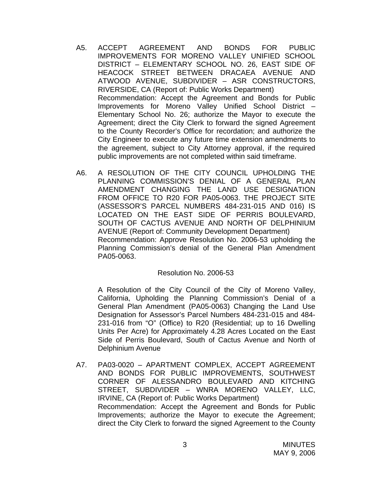- A5. ACCEPT AGREEMENT AND BONDS FOR PUBLIC IMPROVEMENTS FOR MORENO VALLEY UNIFIED SCHOOL DISTRICT – ELEMENTARY SCHOOL NO. 26, EAST SIDE OF HEACOCK STREET BETWEEN DRACAEA AVENUE AND ATWOOD AVENUE, SUBDIVIDER – ASR CONSTRUCTORS, RIVERSIDE, CA (Report of: Public Works Department) Recommendation: Accept the Agreement and Bonds for Public Improvements for Moreno Valley Unified School District – Elementary School No. 26; authorize the Mayor to execute the Agreement; direct the City Clerk to forward the signed Agreement to the County Recorder's Office for recordation; and authorize the City Engineer to execute any future time extension amendments to the agreement, subject to City Attorney approval, if the required public improvements are not completed within said timeframe.
- A6. A RESOLUTION OF THE CITY COUNCIL UPHOLDING THE PLANNING COMMISSION'S DENIAL OF A GENERAL PLAN AMENDMENT CHANGING THE LAND USE DESIGNATION FROM OFFICE TO R20 FOR PA05-0063. THE PROJECT SITE (ASSESSOR'S PARCEL NUMBERS 484-231-015 AND 016) IS LOCATED ON THE EAST SIDE OF PERRIS BOULEVARD, SOUTH OF CACTUS AVENUE AND NORTH OF DELPHINIUM AVENUE (Report of: Community Development Department) Recommendation: Approve Resolution No. 2006-53 upholding the Planning Commission's denial of the General Plan Amendment PA05-0063.

## Resolution No. 2006-53

A Resolution of the City Council of the City of Moreno Valley, California, Upholding the Planning Commission's Denial of a General Plan Amendment (PA05-0063) Changing the Land Use Designation for Assessor's Parcel Numbers 484-231-015 and 484- 231-016 from "O" (Office) to R20 (Residential; up to 16 Dwelling Units Per Acre) for Approximately 4.28 Acres Located on the East Side of Perris Boulevard, South of Cactus Avenue and North of Delphinium Avenue

A7. PA03-0020 – APARTMENT COMPLEX, ACCEPT AGREEMENT AND BONDS FOR PUBLIC IMPROVEMENTS, SOUTHWEST CORNER OF ALESSANDRO BOULEVARD AND KITCHING STREET, SUBDIVIDER – WNRA MORENO VALLEY, LLC, IRVINE, CA (Report of: Public Works Department) Recommendation: Accept the Agreement and Bonds for Public Improvements; authorize the Mayor to execute the Agreement; direct the City Clerk to forward the signed Agreement to the County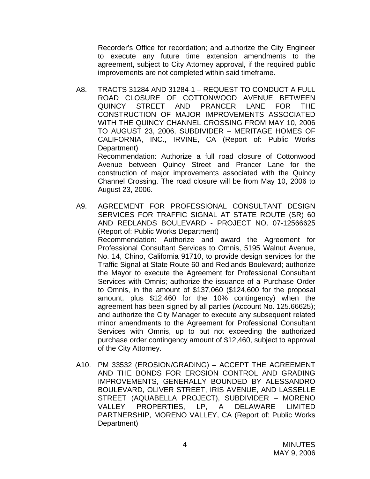Recorder's Office for recordation; and authorize the City Engineer to execute any future time extension amendments to the agreement, subject to City Attorney approval, if the required public improvements are not completed within said timeframe.

A8. TRACTS 31284 AND 31284-1 – REQUEST TO CONDUCT A FULL ROAD CLOSURE OF COTTONWOOD AVENUE BETWEEN QUINCY STREET AND PRANCER LANE FOR THE CONSTRUCTION OF MAJOR IMPROVEMENTS ASSOCIATED WITH THE QUINCY CHANNEL CROSSING FROM MAY 10, 2006 TO AUGUST 23, 2006, SUBDIVIDER – MERITAGE HOMES OF CALIFORNIA, INC., IRVINE, CA (Report of: Public Works Department)

 Recommendation: Authorize a full road closure of Cottonwood Avenue between Quincy Street and Prancer Lane for the construction of major improvements associated with the Quincy Channel Crossing. The road closure will be from May 10, 2006 to August 23, 2006.

- A9. AGREEMENT FOR PROFESSIONAL CONSULTANT DESIGN SERVICES FOR TRAFFIC SIGNAL AT STATE ROUTE (SR) 60 AND REDLANDS BOULEVARD - PROJECT NO. 07-12566625 (Report of: Public Works Department) Recommendation: Authorize and award the Agreement for Professional Consultant Services to Omnis, 5195 Walnut Avenue, No. 14, Chino, California 91710, to provide design services for the Traffic Signal at State Route 60 and Redlands Boulevard; authorize the Mayor to execute the Agreement for Professional Consultant Services with Omnis; authorize the issuance of a Purchase Order to Omnis, in the amount of \$137,060 (\$124,600 for the proposal amount, plus \$12,460 for the 10% contingency) when the agreement has been signed by all parties (Account No. 125.66625); and authorize the City Manager to execute any subsequent related minor amendments to the Agreement for Professional Consultant Services with Omnis, up to but not exceeding the authorized purchase order contingency amount of \$12,460, subject to approval of the City Attorney.
- A10. PM 33532 (EROSION/GRADING) ACCEPT THE AGREEMENT AND THE BONDS FOR EROSION CONTROL AND GRADING IMPROVEMENTS, GENERALLY BOUNDED BY ALESSANDRO BOULEVARD, OLIVER STREET, IRIS AVENUE, AND LASSELLE STREET (AQUABELLA PROJECT), SUBDIVIDER – MORENO VALLEY PROPERTIES, LP, A DELAWARE LIMITED PARTNERSHIP, MORENO VALLEY, CA (Report of: Public Works Department)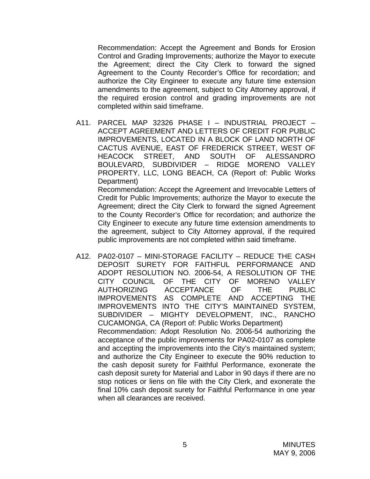Recommendation: Accept the Agreement and Bonds for Erosion Control and Grading Improvements; authorize the Mayor to execute the Agreement; direct the City Clerk to forward the signed Agreement to the County Recorder's Office for recordation; and authorize the City Engineer to execute any future time extension amendments to the agreement, subject to City Attorney approval, if the required erosion control and grading improvements are not completed within said timeframe.

A11. PARCEL MAP 32326 PHASE I – INDUSTRIAL PROJECT – ACCEPT AGREEMENT AND LETTERS OF CREDIT FOR PUBLIC IMPROVEMENTS, LOCATED IN A BLOCK OF LAND NORTH OF CACTUS AVENUE, EAST OF FREDERICK STREET, WEST OF HEACOCK STREET, AND SOUTH OF ALESSANDRO BOULEVARD, SUBDIVIDER – RIDGE MORENO VALLEY PROPERTY, LLC, LONG BEACH, CA (Report of: Public Works Department)

 Recommendation: Accept the Agreement and Irrevocable Letters of Credit for Public Improvements; authorize the Mayor to execute the Agreement; direct the City Clerk to forward the signed Agreement to the County Recorder's Office for recordation; and authorize the City Engineer to execute any future time extension amendments to the agreement, subject to City Attorney approval, if the required public improvements are not completed within said timeframe.

A12. PA02-0107 – MINI-STORAGE FACILITY – REDUCE THE CASH DEPOSIT SURETY FOR FAITHFUL PERFORMANCE AND ADOPT RESOLUTION NO. 2006-54, A RESOLUTION OF THE CITY COUNCIL OF THE CITY OF MORENO VALLEY AUTHORIZING ACCEPTANCE OF THE PUBLIC IMPROVEMENTS AS COMPLETE AND ACCEPTING THE IMPROVEMENTS INTO THE CITY'S MAINTAINED SYSTEM, SUBDIVIDER – MIGHTY DEVELOPMENT, INC., RANCHO CUCAMONGA, CA (Report of: Public Works Department) Recommendation: Adopt Resolution No. 2006-54 authorizing the acceptance of the public improvements for PA02-0107 as complete and accepting the improvements into the City's maintained system; and authorize the City Engineer to execute the 90% reduction to the cash deposit surety for Faithful Performance, exonerate the cash deposit surety for Material and Labor in 90 days if there are no stop notices or liens on file with the City Clerk, and exonerate the final 10% cash deposit surety for Faithful Performance in one year when all clearances are received.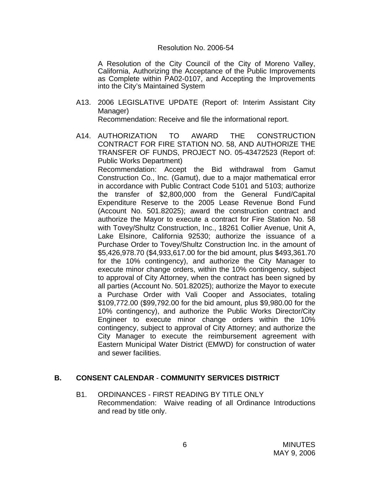#### Resolution No. 2006-54

A Resolution of the City Council of the City of Moreno Valley, California, Authorizing the Acceptance of the Public Improvements as Complete within PA02-0107, and Accepting the Improvements into the City's Maintained System

- A13. 2006 LEGISLATIVE UPDATE (Report of: Interim Assistant City Manager) Recommendation: Receive and file the informational report.
- A14. AUTHORIZATION TO AWARD THE CONSTRUCTION CONTRACT FOR FIRE STATION NO. 58, AND AUTHORIZE THE TRANSFER OF FUNDS, PROJECT NO. 05-43472523 (Report of: Public Works Department) Recommendation: Accept the Bid withdrawal from Gamut Construction Co., Inc. (Gamut), due to a major mathematical error in accordance with Public Contract Code 5101 and 5103; authorize the transfer of \$2,800,000 from the General Fund/Capital Expenditure Reserve to the 2005 Lease Revenue Bond Fund (Account No. 501.82025); award the construction contract and authorize the Mayor to execute a contract for Fire Station No. 58 with Tovey/Shultz Construction, Inc., 18261 Collier Avenue, Unit A, Lake Elsinore, California 92530; authorize the issuance of a Purchase Order to Tovey/Shultz Construction Inc. in the amount of \$5,426,978.70 (\$4,933,617.00 for the bid amount, plus \$493,361.70 for the 10% contingency), and authorize the City Manager to execute minor change orders, within the 10% contingency, subject to approval of City Attorney, when the contract has been signed by all parties (Account No. 501.82025); authorize the Mayor to execute a Purchase Order with Vali Cooper and Associates, totaling \$109,772.00 (\$99,792.00 for the bid amount, plus \$9,980.00 for the 10% contingency), and authorize the Public Works Director/City Engineer to execute minor change orders within the 10% contingency, subject to approval of City Attorney; and authorize the City Manager to execute the reimbursement agreement with Eastern Municipal Water District (EMWD) for construction of water and sewer facilities.

## **B. CONSENT CALENDAR** - **COMMUNITY SERVICES DISTRICT**

B1. ORDINANCES - FIRST READING BY TITLE ONLY Recommendation: Waive reading of all Ordinance Introductions and read by title only.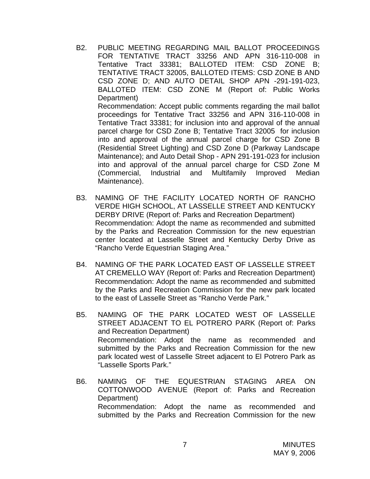B2. PUBLIC MEETING REGARDING MAIL BALLOT PROCEEDINGS FOR TENTATIVE TRACT 33256 AND APN 316-110-008 in Tentative Tract 33381; BALLOTED ITEM: CSD ZONE B; TENTATIVE TRACT 32005, BALLOTED ITEMS: CSD ZONE B AND CSD ZONE D; AND AUTO DETAIL SHOP APN -291-191-023, BALLOTED ITEM: CSD ZONE M (Report of: Public Works Department) Recommendation: Accept public comments regarding the mail ballot proceedings for Tentative Tract 33256 and APN 316-110-008 in Tentative Tract 33381; for inclusion into and approval of the annual parcel charge for CSD Zone B; Tentative Tract 32005 for inclusion into and approval of the annual parcel charge for CSD Zone B (Residential Street Lighting) and CSD Zone D (Parkway Landscape

Maintenance); and Auto Detail Shop - APN 291-191-023 for inclusion into and approval of the annual parcel charge for CSD Zone M (Commercial, Industrial and Multifamily Improved Median Maintenance).

- B3. NAMING OF THE FACILITY LOCATED NORTH OF RANCHO VERDE HIGH SCHOOL, AT LASSELLE STREET AND KENTUCKY DERBY DRIVE (Report of: Parks and Recreation Department) Recommendation: Adopt the name as recommended and submitted by the Parks and Recreation Commission for the new equestrian center located at Lasselle Street and Kentucky Derby Drive as "Rancho Verde Equestrian Staging Area."
- B4. NAMING OF THE PARK LOCATED EAST OF LASSELLE STREET AT CREMELLO WAY (Report of: Parks and Recreation Department) Recommendation: Adopt the name as recommended and submitted by the Parks and Recreation Commission for the new park located to the east of Lasselle Street as "Rancho Verde Park."
- B5. NAMING OF THE PARK LOCATED WEST OF LASSELLE STREET ADJACENT TO EL POTRERO PARK (Report of: Parks and Recreation Department) Recommendation: Adopt the name as recommended and submitted by the Parks and Recreation Commission for the new park located west of Lasselle Street adjacent to El Potrero Park as "Lasselle Sports Park."
- B6. NAMING OF THE EQUESTRIAN STAGING AREA ON COTTONWOOD AVENUE (Report of: Parks and Recreation Department) Recommendation: Adopt the name as recommended and submitted by the Parks and Recreation Commission for the new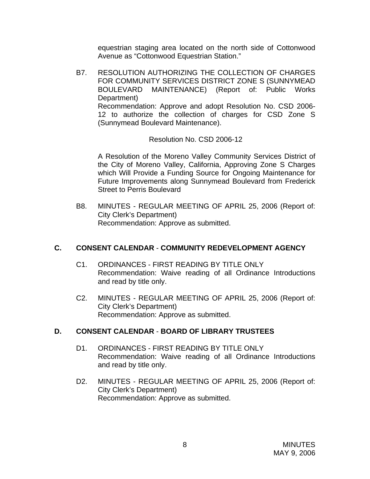equestrian staging area located on the north side of Cottonwood Avenue as "Cottonwood Equestrian Station."

B7. RESOLUTION AUTHORIZING THE COLLECTION OF CHARGES FOR COMMUNITY SERVICES DISTRICT ZONE S (SUNNYMEAD BOULEVARD MAINTENANCE) (Report of: Public Works Department) Recommendation: Approve and adopt Resolution No. CSD 2006- 12 to authorize the collection of charges for CSD Zone S (Sunnymead Boulevard Maintenance).

Resolution No. CSD 2006-12

 A Resolution of the Moreno Valley Community Services District of the City of Moreno Valley, California, Approving Zone S Charges which Will Provide a Funding Source for Ongoing Maintenance for Future Improvements along Sunnymead Boulevard from Frederick Street to Perris Boulevard

B8. MINUTES - REGULAR MEETING OF APRIL 25, 2006 (Report of: City Clerk's Department) Recommendation: Approve as submitted.

# **C. CONSENT CALENDAR** - **COMMUNITY REDEVELOPMENT AGENCY**

- C1. ORDINANCES FIRST READING BY TITLE ONLY Recommendation: Waive reading of all Ordinance Introductions and read by title only.
- C2. MINUTES REGULAR MEETING OF APRIL 25, 2006 (Report of: City Clerk's Department) Recommendation: Approve as submitted.

# **D. CONSENT CALENDAR** - **BOARD OF LIBRARY TRUSTEES**

- D1. ORDINANCES FIRST READING BY TITLE ONLY Recommendation: Waive reading of all Ordinance Introductions and read by title only.
- D2. MINUTES REGULAR MEETING OF APRIL 25, 2006 (Report of: City Clerk's Department) Recommendation: Approve as submitted.